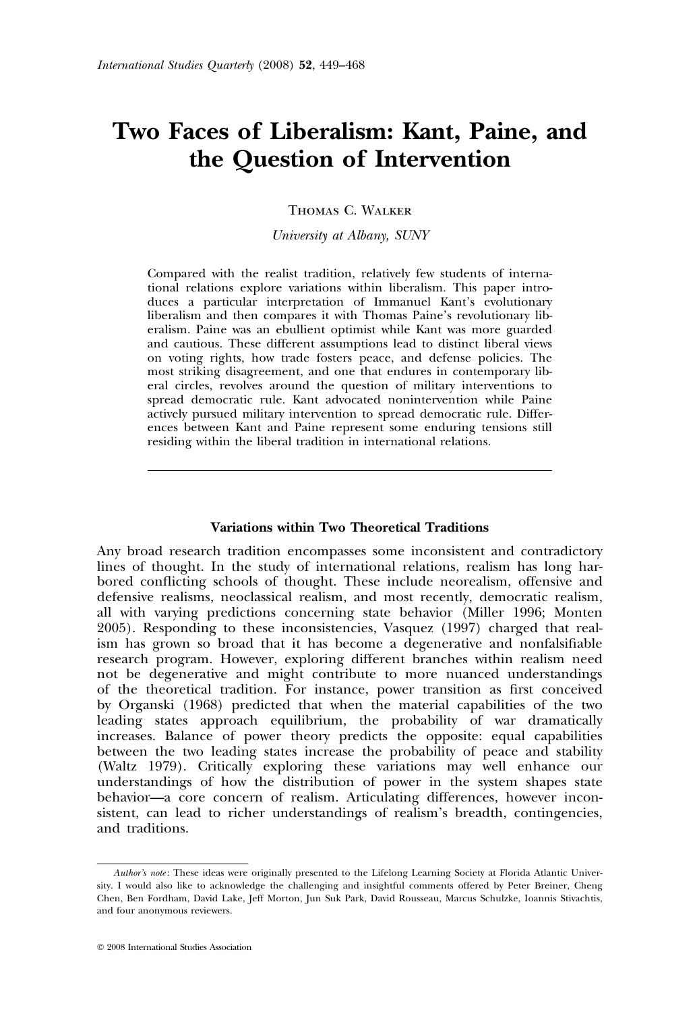# Two Faces of Liberalism: Kant, Paine, and the Question of Intervention

Thomas C. Walker

University at Albany, SUNY

Compared with the realist tradition, relatively few students of international relations explore variations within liberalism. This paper introduces a particular interpretation of Immanuel Kant's evolutionary liberalism and then compares it with Thomas Paine's revolutionary liberalism. Paine was an ebullient optimist while Kant was more guarded and cautious. These different assumptions lead to distinct liberal views on voting rights, how trade fosters peace, and defense policies. The most striking disagreement, and one that endures in contemporary liberal circles, revolves around the question of military interventions to spread democratic rule. Kant advocated nonintervention while Paine actively pursued military intervention to spread democratic rule. Differences between Kant and Paine represent some enduring tensions still residing within the liberal tradition in international relations.

#### Variations within Two Theoretical Traditions

Any broad research tradition encompasses some inconsistent and contradictory lines of thought. In the study of international relations, realism has long harbored conflicting schools of thought. These include neorealism, offensive and defensive realisms, neoclassical realism, and most recently, democratic realism, all with varying predictions concerning state behavior (Miller 1996; Monten 2005). Responding to these inconsistencies, Vasquez (1997) charged that realism has grown so broad that it has become a degenerative and nonfalsifiable research program. However, exploring different branches within realism need not be degenerative and might contribute to more nuanced understandings of the theoretical tradition. For instance, power transition as first conceived by Organski (1968) predicted that when the material capabilities of the two leading states approach equilibrium, the probability of war dramatically increases. Balance of power theory predicts the opposite: equal capabilities between the two leading states increase the probability of peace and stability (Waltz 1979). Critically exploring these variations may well enhance our understandings of how the distribution of power in the system shapes state behavior—a core concern of realism. Articulating differences, however inconsistent, can lead to richer understandings of realism's breadth, contingencies, and traditions.

Author's note: These ideas were originally presented to the Lifelong Learning Society at Florida Atlantic University. I would also like to acknowledge the challenging and insightful comments offered by Peter Breiner, Cheng Chen, Ben Fordham, David Lake, Jeff Morton, Jun Suk Park, David Rousseau, Marcus Schulzke, Ioannis Stivachtis, and four anonymous reviewers.

 $©$  2008 International Studies Association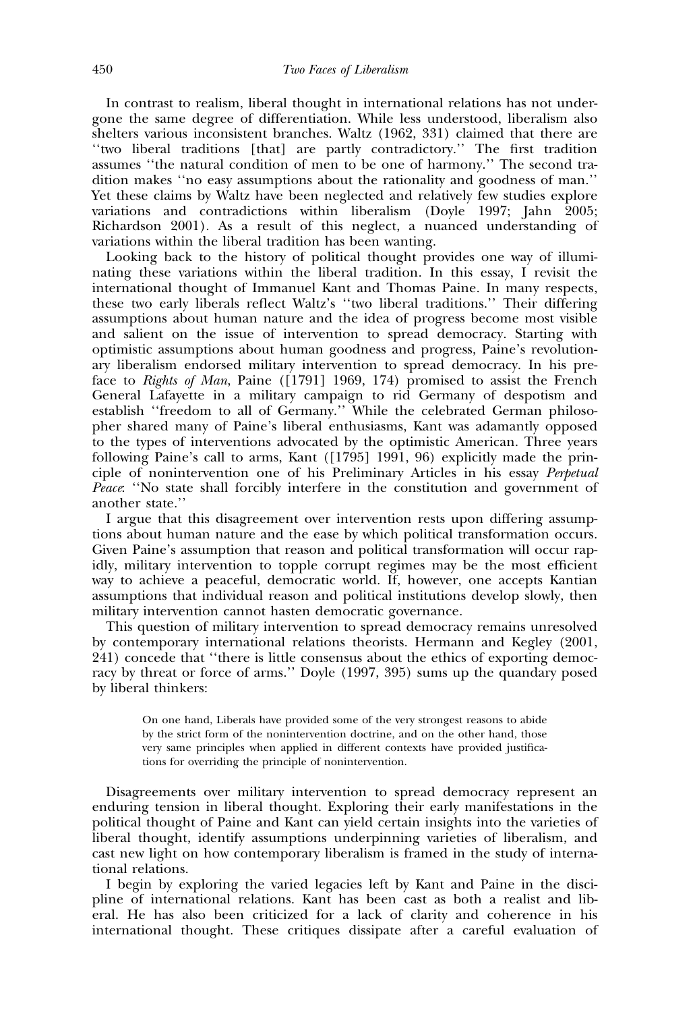In contrast to realism, liberal thought in international relations has not undergone the same degree of differentiation. While less understood, liberalism also shelters various inconsistent branches. Waltz (1962, 331) claimed that there are ''two liberal traditions [that] are partly contradictory.'' The first tradition assumes ''the natural condition of men to be one of harmony.'' The second tradition makes ''no easy assumptions about the rationality and goodness of man.'' Yet these claims by Waltz have been neglected and relatively few studies explore variations and contradictions within liberalism (Doyle 1997; Jahn 2005; Richardson 2001). As a result of this neglect, a nuanced understanding of variations within the liberal tradition has been wanting.

Looking back to the history of political thought provides one way of illuminating these variations within the liberal tradition. In this essay, I revisit the international thought of Immanuel Kant and Thomas Paine. In many respects, these two early liberals reflect Waltz's ''two liberal traditions.'' Their differing assumptions about human nature and the idea of progress become most visible and salient on the issue of intervention to spread democracy. Starting with optimistic assumptions about human goodness and progress, Paine's revolutionary liberalism endorsed military intervention to spread democracy. In his preface to Rights of Man, Paine ([1791] 1969, 174) promised to assist the French General Lafayette in a military campaign to rid Germany of despotism and establish ''freedom to all of Germany.'' While the celebrated German philosopher shared many of Paine's liberal enthusiasms, Kant was adamantly opposed to the types of interventions advocated by the optimistic American. Three years following Paine's call to arms, Kant ([1795] 1991, 96) explicitly made the principle of nonintervention one of his Preliminary Articles in his essay Perpetual Peace: "No state shall forcibly interfere in the constitution and government of another state.''

I argue that this disagreement over intervention rests upon differing assumptions about human nature and the ease by which political transformation occurs. Given Paine's assumption that reason and political transformation will occur rapidly, military intervention to topple corrupt regimes may be the most efficient way to achieve a peaceful, democratic world. If, however, one accepts Kantian assumptions that individual reason and political institutions develop slowly, then military intervention cannot hasten democratic governance.

This question of military intervention to spread democracy remains unresolved by contemporary international relations theorists. Hermann and Kegley (2001, 241) concede that ''there is little consensus about the ethics of exporting democracy by threat or force of arms.'' Doyle (1997, 395) sums up the quandary posed by liberal thinkers:

On one hand, Liberals have provided some of the very strongest reasons to abide by the strict form of the nonintervention doctrine, and on the other hand, those very same principles when applied in different contexts have provided justifications for overriding the principle of nonintervention.

Disagreements over military intervention to spread democracy represent an enduring tension in liberal thought. Exploring their early manifestations in the political thought of Paine and Kant can yield certain insights into the varieties of liberal thought, identify assumptions underpinning varieties of liberalism, and cast new light on how contemporary liberalism is framed in the study of international relations.

I begin by exploring the varied legacies left by Kant and Paine in the discipline of international relations. Kant has been cast as both a realist and liberal. He has also been criticized for a lack of clarity and coherence in his international thought. These critiques dissipate after a careful evaluation of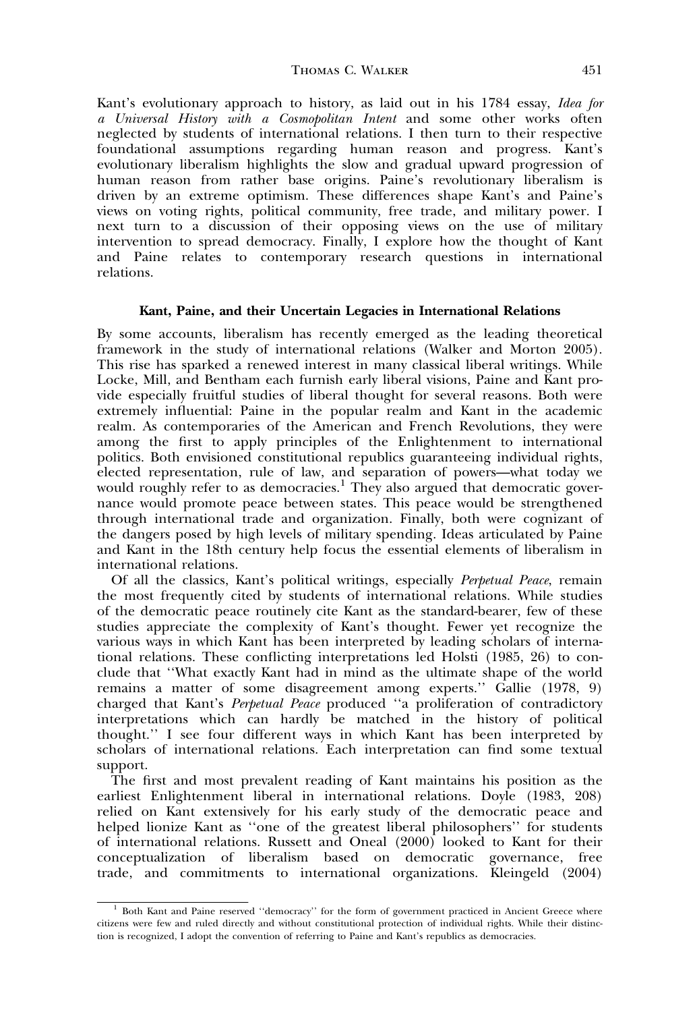Kant's evolutionary approach to history, as laid out in his 1784 essay, Idea for a Universal History with a Cosmopolitan Intent and some other works often neglected by students of international relations. I then turn to their respective foundational assumptions regarding human reason and progress. Kant's evolutionary liberalism highlights the slow and gradual upward progression of human reason from rather base origins. Paine's revolutionary liberalism is driven by an extreme optimism. These differences shape Kant's and Paine's views on voting rights, political community, free trade, and military power. I next turn to a discussion of their opposing views on the use of military intervention to spread democracy. Finally, I explore how the thought of Kant and Paine relates to contemporary research questions in international relations.

## Kant, Paine, and their Uncertain Legacies in International Relations

By some accounts, liberalism has recently emerged as the leading theoretical framework in the study of international relations (Walker and Morton 2005). This rise has sparked a renewed interest in many classical liberal writings. While Locke, Mill, and Bentham each furnish early liberal visions, Paine and Kant provide especially fruitful studies of liberal thought for several reasons. Both were extremely influential: Paine in the popular realm and Kant in the academic realm. As contemporaries of the American and French Revolutions, they were among the first to apply principles of the Enlightenment to international politics. Both envisioned constitutional republics guaranteeing individual rights, elected representation, rule of law, and separation of powers—what today we would roughly refer to as democracies.<sup>1</sup> They also argued that democratic governance would promote peace between states. This peace would be strengthened through international trade and organization. Finally, both were cognizant of the dangers posed by high levels of military spending. Ideas articulated by Paine and Kant in the 18th century help focus the essential elements of liberalism in international relations.

Of all the classics, Kant's political writings, especially Perpetual Peace, remain the most frequently cited by students of international relations. While studies of the democratic peace routinely cite Kant as the standard-bearer, few of these studies appreciate the complexity of Kant's thought. Fewer yet recognize the various ways in which Kant has been interpreted by leading scholars of international relations. These conflicting interpretations led Holsti (1985, 26) to conclude that ''What exactly Kant had in mind as the ultimate shape of the world remains a matter of some disagreement among experts.'' Gallie (1978, 9) charged that Kant's Perpetual Peace produced ''a proliferation of contradictory interpretations which can hardly be matched in the history of political thought.'' I see four different ways in which Kant has been interpreted by scholars of international relations. Each interpretation can find some textual support.

The first and most prevalent reading of Kant maintains his position as the earliest Enlightenment liberal in international relations. Doyle (1983, 208) relied on Kant extensively for his early study of the democratic peace and helped lionize Kant as ''one of the greatest liberal philosophers'' for students of international relations. Russett and Oneal (2000) looked to Kant for their conceptualization of liberalism based on democratic governance, free trade, and commitments to international organizations. Kleingeld (2004)

<sup>&</sup>lt;sup>1</sup> Both Kant and Paine reserved "democracy" for the form of government practiced in Ancient Greece where citizens were few and ruled directly and without constitutional protection of individual rights. While their distinction is recognized, I adopt the convention of referring to Paine and Kant's republics as democracies.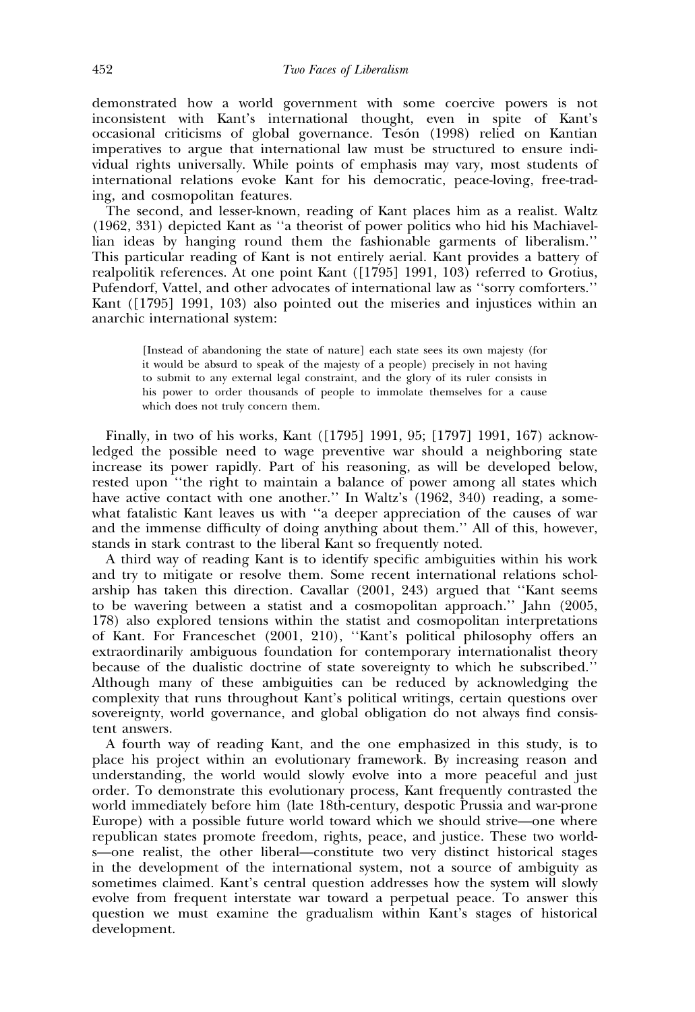demonstrated how a world government with some coercive powers is not inconsistent with Kant's international thought, even in spite of Kant's occasional criticisms of global governance. Tesón (1998) relied on Kantian imperatives to argue that international law must be structured to ensure individual rights universally. While points of emphasis may vary, most students of international relations evoke Kant for his democratic, peace-loving, free-trading, and cosmopolitan features.

The second, and lesser-known, reading of Kant places him as a realist. Waltz (1962, 331) depicted Kant as ''a theorist of power politics who hid his Machiavellian ideas by hanging round them the fashionable garments of liberalism.'' This particular reading of Kant is not entirely aerial. Kant provides a battery of realpolitik references. At one point Kant ([1795] 1991, 103) referred to Grotius, Pufendorf, Vattel, and other advocates of international law as ''sorry comforters.'' Kant ([1795] 1991, 103) also pointed out the miseries and injustices within an anarchic international system:

[Instead of abandoning the state of nature] each state sees its own majesty (for it would be absurd to speak of the majesty of a people) precisely in not having to submit to any external legal constraint, and the glory of its ruler consists in his power to order thousands of people to immolate themselves for a cause which does not truly concern them.

Finally, in two of his works, Kant ([1795] 1991, 95; [1797] 1991, 167) acknowledged the possible need to wage preventive war should a neighboring state increase its power rapidly. Part of his reasoning, as will be developed below, rested upon ''the right to maintain a balance of power among all states which have active contact with one another." In Waltz's (1962, 340) reading, a somewhat fatalistic Kant leaves us with ''a deeper appreciation of the causes of war and the immense difficulty of doing anything about them.'' All of this, however, stands in stark contrast to the liberal Kant so frequently noted.

A third way of reading Kant is to identify specific ambiguities within his work and try to mitigate or resolve them. Some recent international relations scholarship has taken this direction. Cavallar (2001, 243) argued that ''Kant seems to be wavering between a statist and a cosmopolitan approach.'' Jahn (2005, 178) also explored tensions within the statist and cosmopolitan interpretations of Kant. For Franceschet (2001, 210), ''Kant's political philosophy offers an extraordinarily ambiguous foundation for contemporary internationalist theory because of the dualistic doctrine of state sovereignty to which he subscribed.'' Although many of these ambiguities can be reduced by acknowledging the complexity that runs throughout Kant's political writings, certain questions over sovereignty, world governance, and global obligation do not always find consistent answers.

A fourth way of reading Kant, and the one emphasized in this study, is to place his project within an evolutionary framework. By increasing reason and understanding, the world would slowly evolve into a more peaceful and just order. To demonstrate this evolutionary process, Kant frequently contrasted the world immediately before him (late 18th-century, despotic Prussia and war-prone Europe) with a possible future world toward which we should strive—one where republican states promote freedom, rights, peace, and justice. These two worlds—one realist, the other liberal—constitute two very distinct historical stages in the development of the international system, not a source of ambiguity as sometimes claimed. Kant's central question addresses how the system will slowly evolve from frequent interstate war toward a perpetual peace. To answer this question we must examine the gradualism within Kant's stages of historical development.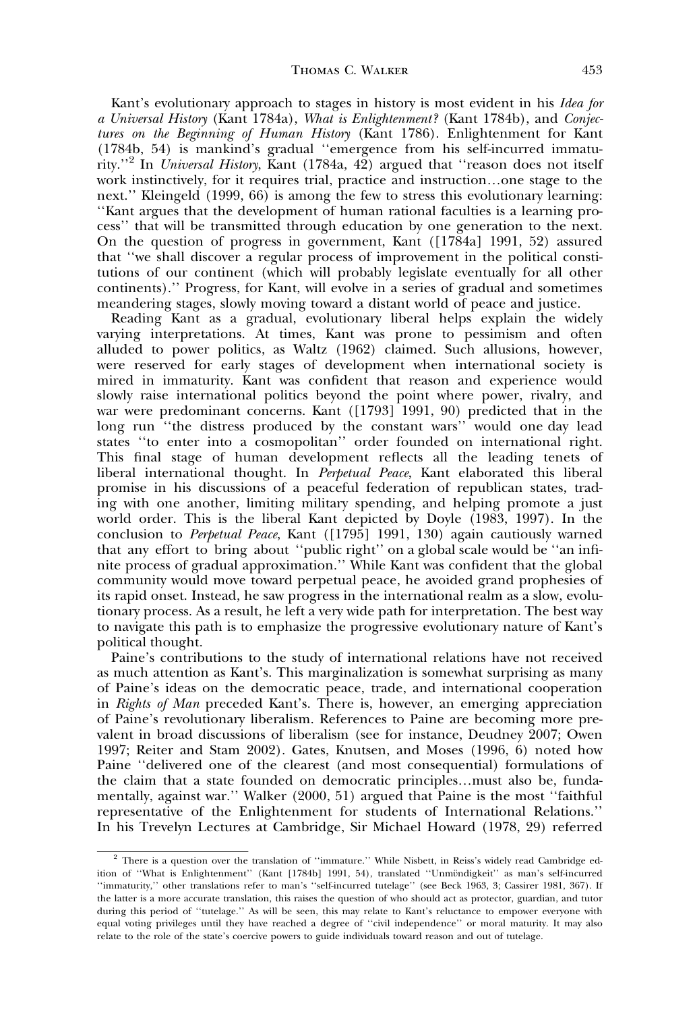Kant's evolutionary approach to stages in history is most evident in his Idea for a Universal History (Kant 1784a), What is Enlightenment? (Kant 1784b), and Conjectures on the Beginning of Human History (Kant 1786). Enlightenment for Kant (1784b, 54) is mankind's gradual ''emergence from his self-incurred immaturity.''<sup>2</sup> In Universal History, Kant (1784a, 42) argued that ''reason does not itself work instinctively, for it requires trial, practice and instruction…one stage to the next.'' Kleingeld (1999, 66) is among the few to stress this evolutionary learning: ''Kant argues that the development of human rational faculties is a learning process'' that will be transmitted through education by one generation to the next. On the question of progress in government, Kant ([1784a] 1991, 52) assured that ''we shall discover a regular process of improvement in the political constitutions of our continent (which will probably legislate eventually for all other continents).'' Progress, for Kant, will evolve in a series of gradual and sometimes meandering stages, slowly moving toward a distant world of peace and justice.

Reading Kant as a gradual, evolutionary liberal helps explain the widely varying interpretations. At times, Kant was prone to pessimism and often alluded to power politics, as Waltz (1962) claimed. Such allusions, however, were reserved for early stages of development when international society is mired in immaturity. Kant was confident that reason and experience would slowly raise international politics beyond the point where power, rivalry, and war were predominant concerns. Kant ([1793] 1991, 90) predicted that in the long run ''the distress produced by the constant wars'' would one day lead states ''to enter into a cosmopolitan'' order founded on international right. This final stage of human development reflects all the leading tenets of liberal international thought. In Perpetual Peace, Kant elaborated this liberal promise in his discussions of a peaceful federation of republican states, trading with one another, limiting military spending, and helping promote a just world order. This is the liberal Kant depicted by Doyle (1983, 1997). In the conclusion to Perpetual Peace, Kant  $([1795]$  1991, 130) again cautiously warned that any effort to bring about ''public right'' on a global scale would be ''an infinite process of gradual approximation.'' While Kant was confident that the global community would move toward perpetual peace, he avoided grand prophesies of its rapid onset. Instead, he saw progress in the international realm as a slow, evolutionary process. As a result, he left a very wide path for interpretation. The best way to navigate this path is to emphasize the progressive evolutionary nature of Kant's political thought.

Paine's contributions to the study of international relations have not received as much attention as Kant's. This marginalization is somewhat surprising as many of Paine's ideas on the democratic peace, trade, and international cooperation in Rights of Man preceded Kant's. There is, however, an emerging appreciation of Paine's revolutionary liberalism. References to Paine are becoming more prevalent in broad discussions of liberalism (see for instance, Deudney 2007; Owen 1997; Reiter and Stam 2002). Gates, Knutsen, and Moses (1996, 6) noted how Paine ''delivered one of the clearest (and most consequential) formulations of the claim that a state founded on democratic principles…must also be, fundamentally, against war.'' Walker (2000, 51) argued that Paine is the most ''faithful representative of the Enlightenment for students of International Relations.'' In his Trevelyn Lectures at Cambridge, Sir Michael Howard (1978, 29) referred

<sup>2</sup> There is a question over the translation of ''immature.'' While Nisbett, in Reiss's widely read Cambridge edition of "What is Enlightenment" (Kant [1784b] 1991, 54), translated "Unmündigkeit" as man's self-incurred ''immaturity,'' other translations refer to man's ''self-incurred tutelage'' (see Beck 1963, 3; Cassirer 1981, 367). If the latter is a more accurate translation, this raises the question of who should act as protector, guardian, and tutor during this period of ''tutelage.'' As will be seen, this may relate to Kant's reluctance to empower everyone with equal voting privileges until they have reached a degree of ''civil independence'' or moral maturity. It may also relate to the role of the state's coercive powers to guide individuals toward reason and out of tutelage.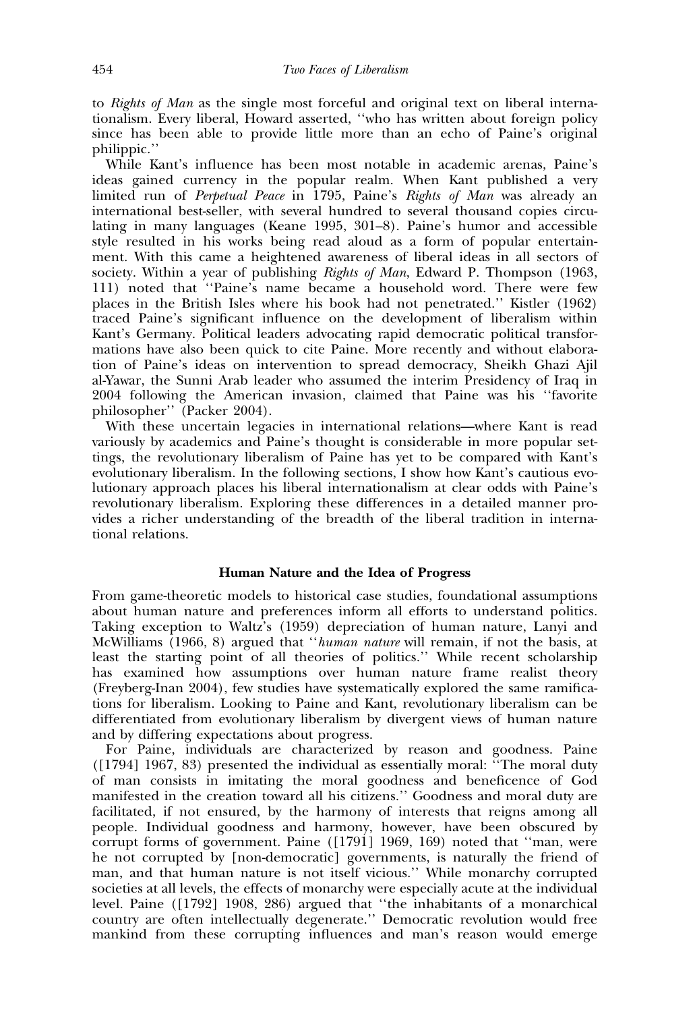to Rights of Man as the single most forceful and original text on liberal internationalism. Every liberal, Howard asserted, ''who has written about foreign policy since has been able to provide little more than an echo of Paine's original philippic.''

While Kant's influence has been most notable in academic arenas, Paine's ideas gained currency in the popular realm. When Kant published a very limited run of Perpetual Peace in 1795, Paine's Rights of Man was already an international best-seller, with several hundred to several thousand copies circulating in many languages (Keane 1995, 301–8). Paine's humor and accessible style resulted in his works being read aloud as a form of popular entertainment. With this came a heightened awareness of liberal ideas in all sectors of society. Within a year of publishing *Rights of Man*, Edward P. Thompson (1963, 111) noted that ''Paine's name became a household word. There were few places in the British Isles where his book had not penetrated.'' Kistler (1962) traced Paine's significant influence on the development of liberalism within Kant's Germany. Political leaders advocating rapid democratic political transformations have also been quick to cite Paine. More recently and without elaboration of Paine's ideas on intervention to spread democracy, Sheikh Ghazi Ajil al-Yawar, the Sunni Arab leader who assumed the interim Presidency of Iraq in 2004 following the American invasion, claimed that Paine was his ''favorite philosopher'' (Packer 2004).

With these uncertain legacies in international relations—where Kant is read variously by academics and Paine's thought is considerable in more popular settings, the revolutionary liberalism of Paine has yet to be compared with Kant's evolutionary liberalism. In the following sections, I show how Kant's cautious evolutionary approach places his liberal internationalism at clear odds with Paine's revolutionary liberalism. Exploring these differences in a detailed manner provides a richer understanding of the breadth of the liberal tradition in international relations.

## Human Nature and the Idea of Progress

From game-theoretic models to historical case studies, foundational assumptions about human nature and preferences inform all efforts to understand politics. Taking exception to Waltz's (1959) depreciation of human nature, Lanyi and McWilliams (1966, 8) argued that ''human nature will remain, if not the basis, at least the starting point of all theories of politics.'' While recent scholarship has examined how assumptions over human nature frame realist theory (Freyberg-Inan 2004), few studies have systematically explored the same ramifications for liberalism. Looking to Paine and Kant, revolutionary liberalism can be differentiated from evolutionary liberalism by divergent views of human nature and by differing expectations about progress.

For Paine, individuals are characterized by reason and goodness. Paine ([1794] 1967, 83) presented the individual as essentially moral: ''The moral duty of man consists in imitating the moral goodness and beneficence of God manifested in the creation toward all his citizens.'' Goodness and moral duty are facilitated, if not ensured, by the harmony of interests that reigns among all people. Individual goodness and harmony, however, have been obscured by corrupt forms of government. Paine ([1791] 1969, 169) noted that ''man, were he not corrupted by [non-democratic] governments, is naturally the friend of man, and that human nature is not itself vicious.'' While monarchy corrupted societies at all levels, the effects of monarchy were especially acute at the individual level. Paine ([1792] 1908, 286) argued that ''the inhabitants of a monarchical country are often intellectually degenerate.'' Democratic revolution would free mankind from these corrupting influences and man's reason would emerge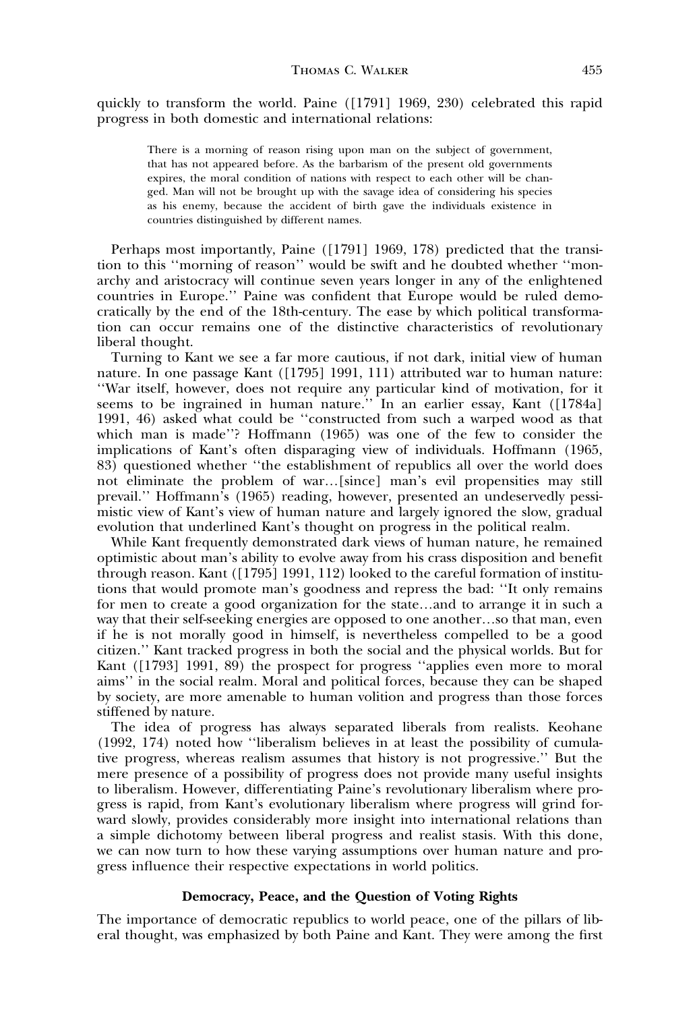quickly to transform the world. Paine ([1791] 1969, 230) celebrated this rapid progress in both domestic and international relations:

There is a morning of reason rising upon man on the subject of government, that has not appeared before. As the barbarism of the present old governments expires, the moral condition of nations with respect to each other will be changed. Man will not be brought up with the savage idea of considering his species as his enemy, because the accident of birth gave the individuals existence in countries distinguished by different names.

Perhaps most importantly, Paine ([1791] 1969, 178) predicted that the transition to this ''morning of reason'' would be swift and he doubted whether ''monarchy and aristocracy will continue seven years longer in any of the enlightened countries in Europe.'' Paine was confident that Europe would be ruled democratically by the end of the 18th-century. The ease by which political transformation can occur remains one of the distinctive characteristics of revolutionary liberal thought.

Turning to Kant we see a far more cautious, if not dark, initial view of human nature. In one passage Kant ([1795] 1991, 111) attributed war to human nature: ''War itself, however, does not require any particular kind of motivation, for it seems to be ingrained in human nature.'' In an earlier essay, Kant ([1784a] 1991, 46) asked what could be ''constructed from such a warped wood as that which man is made''? Hoffmann (1965) was one of the few to consider the implications of Kant's often disparaging view of individuals. Hoffmann (1965, 83) questioned whether ''the establishment of republics all over the world does not eliminate the problem of war…[since] man's evil propensities may still prevail.'' Hoffmann's (1965) reading, however, presented an undeservedly pessimistic view of Kant's view of human nature and largely ignored the slow, gradual evolution that underlined Kant's thought on progress in the political realm.

While Kant frequently demonstrated dark views of human nature, he remained optimistic about man's ability to evolve away from his crass disposition and benefit through reason. Kant ([1795] 1991, 112) looked to the careful formation of institutions that would promote man's goodness and repress the bad: ''It only remains for men to create a good organization for the state…and to arrange it in such a way that their self-seeking energies are opposed to one another…so that man, even if he is not morally good in himself, is nevertheless compelled to be a good citizen.'' Kant tracked progress in both the social and the physical worlds. But for Kant ([1793] 1991, 89) the prospect for progress ''applies even more to moral aims'' in the social realm. Moral and political forces, because they can be shaped by society, are more amenable to human volition and progress than those forces stiffened by nature.

The idea of progress has always separated liberals from realists. Keohane (1992, 174) noted how ''liberalism believes in at least the possibility of cumulative progress, whereas realism assumes that history is not progressive.'' But the mere presence of a possibility of progress does not provide many useful insights to liberalism. However, differentiating Paine's revolutionary liberalism where progress is rapid, from Kant's evolutionary liberalism where progress will grind forward slowly, provides considerably more insight into international relations than a simple dichotomy between liberal progress and realist stasis. With this done, we can now turn to how these varying assumptions over human nature and progress influence their respective expectations in world politics.

# Democracy, Peace, and the Question of Voting Rights

The importance of democratic republics to world peace, one of the pillars of liberal thought, was emphasized by both Paine and Kant. They were among the first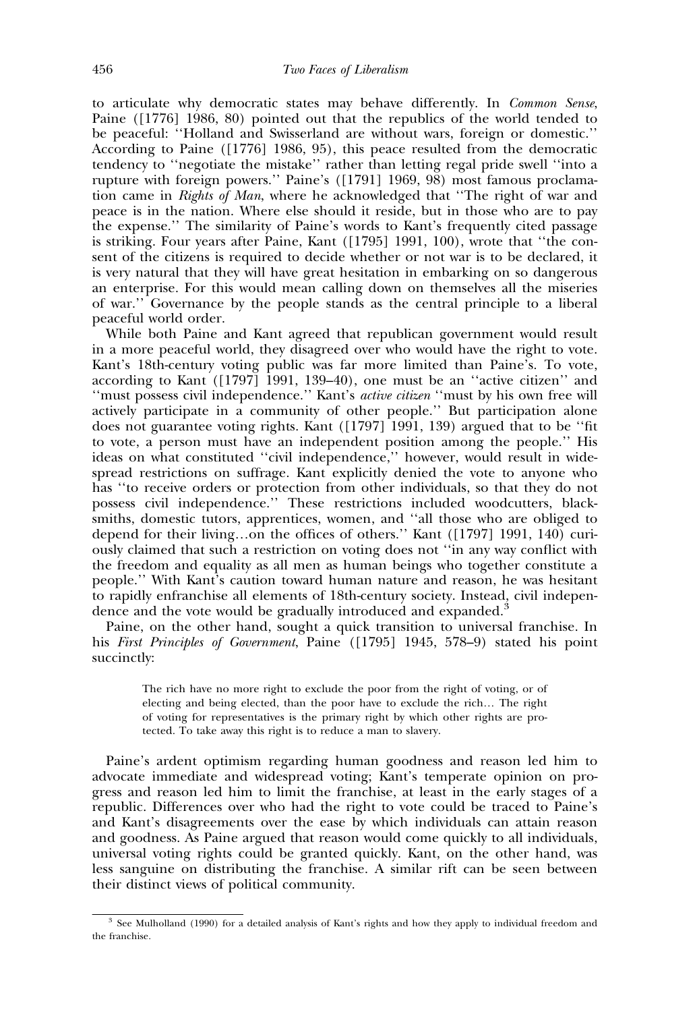to articulate why democratic states may behave differently. In Common Sense, Paine ( $[1776]$  1986, 80) pointed out that the republics of the world tended to be peaceful: ''Holland and Swisserland are without wars, foreign or domestic.'' According to Paine ([1776] 1986, 95), this peace resulted from the democratic tendency to ''negotiate the mistake'' rather than letting regal pride swell ''into a rupture with foreign powers.'' Paine's ([1791] 1969, 98) most famous proclamation came in Rights of Man, where he acknowledged that "The right of war and peace is in the nation. Where else should it reside, but in those who are to pay the expense.'' The similarity of Paine's words to Kant's frequently cited passage is striking. Four years after Paine, Kant ([1795] 1991, 100), wrote that ''the consent of the citizens is required to decide whether or not war is to be declared, it is very natural that they will have great hesitation in embarking on so dangerous an enterprise. For this would mean calling down on themselves all the miseries of war.'' Governance by the people stands as the central principle to a liberal peaceful world order.

While both Paine and Kant agreed that republican government would result in a more peaceful world, they disagreed over who would have the right to vote. Kant's 18th-century voting public was far more limited than Paine's. To vote, according to Kant ([1797] 1991, 139–40), one must be an ''active citizen'' and ''must possess civil independence.'' Kant's active citizen ''must by his own free will actively participate in a community of other people.'' But participation alone does not guarantee voting rights. Kant ([1797] 1991, 139) argued that to be ''fit to vote, a person must have an independent position among the people.'' His ideas on what constituted ''civil independence,'' however, would result in widespread restrictions on suffrage. Kant explicitly denied the vote to anyone who has ''to receive orders or protection from other individuals, so that they do not possess civil independence.'' These restrictions included woodcutters, blacksmiths, domestic tutors, apprentices, women, and ''all those who are obliged to depend for their living…on the offices of others.'' Kant ([1797] 1991, 140) curiously claimed that such a restriction on voting does not ''in any way conflict with the freedom and equality as all men as human beings who together constitute a people.'' With Kant's caution toward human nature and reason, he was hesitant to rapidly enfranchise all elements of 18th-century society. Instead, civil independence and the vote would be gradually introduced and expanded.<sup>3</sup>

Paine, on the other hand, sought a quick transition to universal franchise. In his First Principles of Government, Paine ([1795] 1945, 578–9) stated his point succinctly:

The rich have no more right to exclude the poor from the right of voting, or of electing and being elected, than the poor have to exclude the rich… The right of voting for representatives is the primary right by which other rights are protected. To take away this right is to reduce a man to slavery.

Paine's ardent optimism regarding human goodness and reason led him to advocate immediate and widespread voting; Kant's temperate opinion on progress and reason led him to limit the franchise, at least in the early stages of a republic. Differences over who had the right to vote could be traced to Paine's and Kant's disagreements over the ease by which individuals can attain reason and goodness. As Paine argued that reason would come quickly to all individuals, universal voting rights could be granted quickly. Kant, on the other hand, was less sanguine on distributing the franchise. A similar rift can be seen between their distinct views of political community.

<sup>&</sup>lt;sup>3</sup> See Mulholland (1990) for a detailed analysis of Kant's rights and how they apply to individual freedom and the franchise.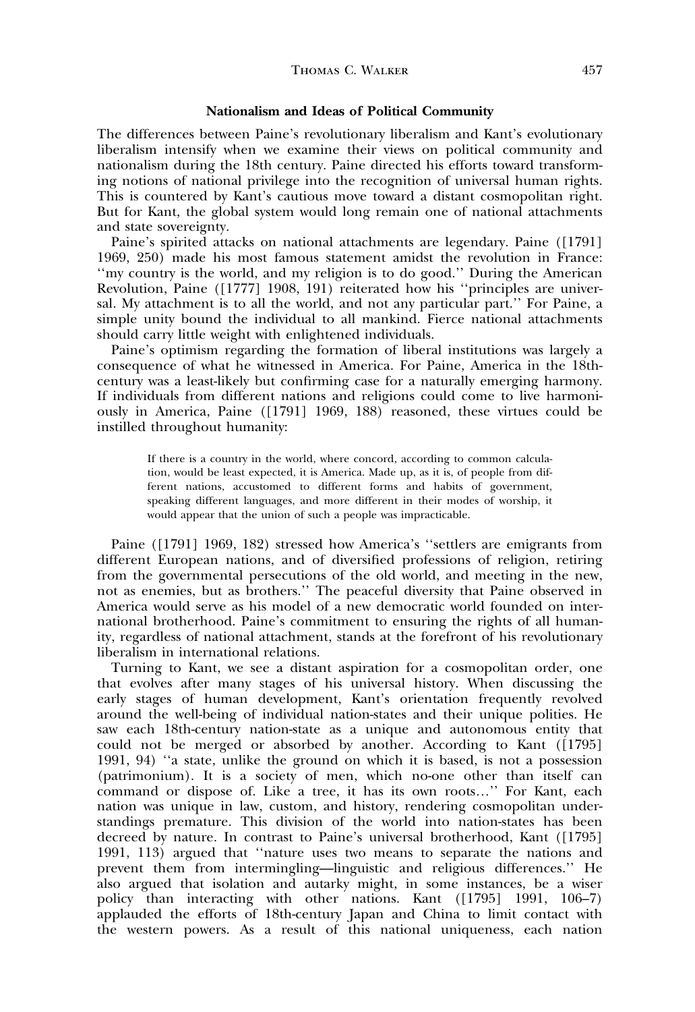## Nationalism and Ideas of Political Community

The differences between Paine's revolutionary liberalism and Kant's evolutionary liberalism intensify when we examine their views on political community and nationalism during the 18th century. Paine directed his efforts toward transforming notions of national privilege into the recognition of universal human rights. This is countered by Kant's cautious move toward a distant cosmopolitan right. But for Kant, the global system would long remain one of national attachments and state sovereignty.

Paine's spirited attacks on national attachments are legendary. Paine ([1791] 1969, 250) made his most famous statement amidst the revolution in France: ''my country is the world, and my religion is to do good.'' During the American Revolution, Paine ([1777] 1908, 191) reiterated how his ''principles are universal. My attachment is to all the world, and not any particular part.'' For Paine, a simple unity bound the individual to all mankind. Fierce national attachments should carry little weight with enlightened individuals.

Paine's optimism regarding the formation of liberal institutions was largely a consequence of what he witnessed in America. For Paine, America in the 18thcentury was a least-likely but confirming case for a naturally emerging harmony. If individuals from different nations and religions could come to live harmoniously in America, Paine ([1791] 1969, 188) reasoned, these virtues could be instilled throughout humanity:

If there is a country in the world, where concord, according to common calculation, would be least expected, it is America. Made up, as it is, of people from different nations, accustomed to different forms and habits of government, speaking different languages, and more different in their modes of worship, it would appear that the union of such a people was impracticable.

Paine ([1791] 1969, 182) stressed how America's ''settlers are emigrants from different European nations, and of diversified professions of religion, retiring from the governmental persecutions of the old world, and meeting in the new, not as enemies, but as brothers.'' The peaceful diversity that Paine observed in America would serve as his model of a new democratic world founded on international brotherhood. Paine's commitment to ensuring the rights of all humanity, regardless of national attachment, stands at the forefront of his revolutionary liberalism in international relations.

Turning to Kant, we see a distant aspiration for a cosmopolitan order, one that evolves after many stages of his universal history. When discussing the early stages of human development, Kant's orientation frequently revolved around the well-being of individual nation-states and their unique polities. He saw each 18th-century nation-state as a unique and autonomous entity that could not be merged or absorbed by another. According to Kant ([1795] 1991, 94) ''a state, unlike the ground on which it is based, is not a possession (patrimonium). It is a society of men, which no-one other than itself can command or dispose of. Like a tree, it has its own roots…'' For Kant, each nation was unique in law, custom, and history, rendering cosmopolitan understandings premature. This division of the world into nation-states has been decreed by nature. In contrast to Paine's universal brotherhood, Kant ([1795] 1991, 113) argued that ''nature uses two means to separate the nations and prevent them from intermingling—linguistic and religious differences.'' He also argued that isolation and autarky might, in some instances, be a wiser policy than interacting with other nations. Kant ([1795] 1991, 106–7) applauded the efforts of 18th-century Japan and China to limit contact with the western powers. As a result of this national uniqueness, each nation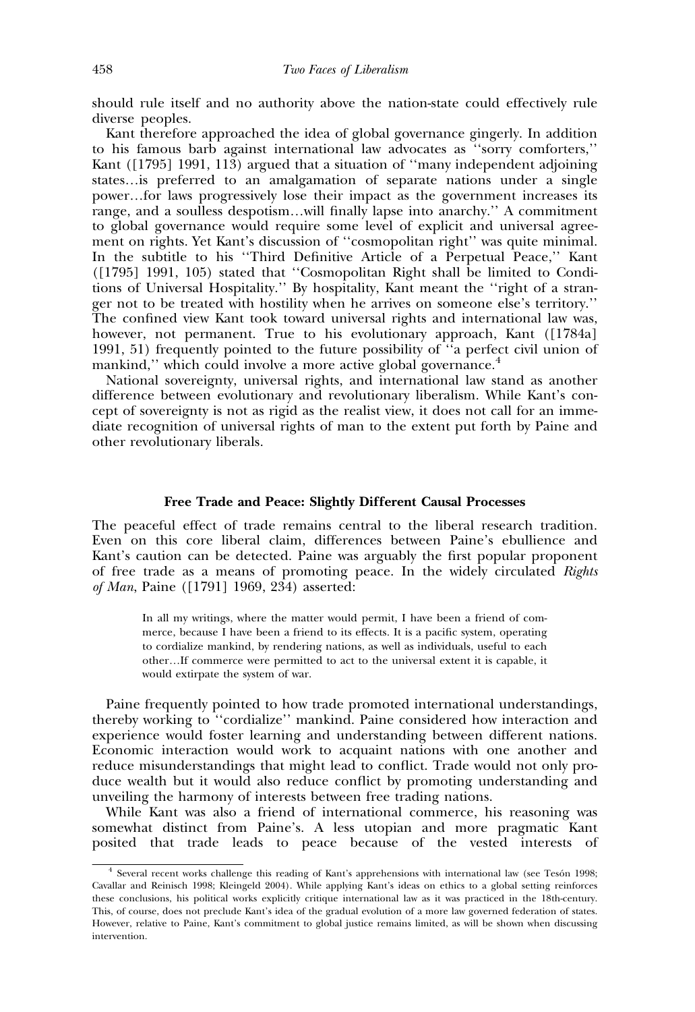should rule itself and no authority above the nation-state could effectively rule diverse peoples.

Kant therefore approached the idea of global governance gingerly. In addition to his famous barb against international law advocates as ''sorry comforters,'' Kant ([1795] 1991, 113) argued that a situation of ''many independent adjoining states…is preferred to an amalgamation of separate nations under a single power…for laws progressively lose their impact as the government increases its range, and a soulless despotism…will finally lapse into anarchy.'' A commitment to global governance would require some level of explicit and universal agreement on rights. Yet Kant's discussion of ''cosmopolitan right'' was quite minimal. In the subtitle to his ''Third Definitive Article of a Perpetual Peace,'' Kant ([1795] 1991, 105) stated that ''Cosmopolitan Right shall be limited to Conditions of Universal Hospitality.'' By hospitality, Kant meant the ''right of a stranger not to be treated with hostility when he arrives on someone else's territory.'' The confined view Kant took toward universal rights and international law was, however, not permanent. True to his evolutionary approach, Kant ([1784a] 1991, 51) frequently pointed to the future possibility of ''a perfect civil union of mankind," which could involve a more active global governance.<sup>4</sup>

National sovereignty, universal rights, and international law stand as another difference between evolutionary and revolutionary liberalism. While Kant's concept of sovereignty is not as rigid as the realist view, it does not call for an immediate recognition of universal rights of man to the extent put forth by Paine and other revolutionary liberals.

#### Free Trade and Peace: Slightly Different Causal Processes

The peaceful effect of trade remains central to the liberal research tradition. Even on this core liberal claim, differences between Paine's ebullience and Kant's caution can be detected. Paine was arguably the first popular proponent of free trade as a means of promoting peace. In the widely circulated Rights of Man, Paine ([1791] 1969, 234) asserted:

In all my writings, where the matter would permit, I have been a friend of commerce, because I have been a friend to its effects. It is a pacific system, operating to cordialize mankind, by rendering nations, as well as individuals, useful to each other…If commerce were permitted to act to the universal extent it is capable, it would extirpate the system of war.

Paine frequently pointed to how trade promoted international understandings, thereby working to ''cordialize'' mankind. Paine considered how interaction and experience would foster learning and understanding between different nations. Economic interaction would work to acquaint nations with one another and reduce misunderstandings that might lead to conflict. Trade would not only produce wealth but it would also reduce conflict by promoting understanding and unveiling the harmony of interests between free trading nations.

While Kant was also a friend of international commerce, his reasoning was somewhat distinct from Paine's. A less utopian and more pragmatic Kant posited that trade leads to peace because of the vested interests of

<sup>&</sup>lt;sup>4</sup> Several recent works challenge this reading of Kant's apprehensions with international law (see Tesón 1998; Cavallar and Reinisch 1998; Kleingeld 2004). While applying Kant's ideas on ethics to a global setting reinforces these conclusions, his political works explicitly critique international law as it was practiced in the 18th-century. This, of course, does not preclude Kant's idea of the gradual evolution of a more law governed federation of states. However, relative to Paine, Kant's commitment to global justice remains limited, as will be shown when discussing intervention.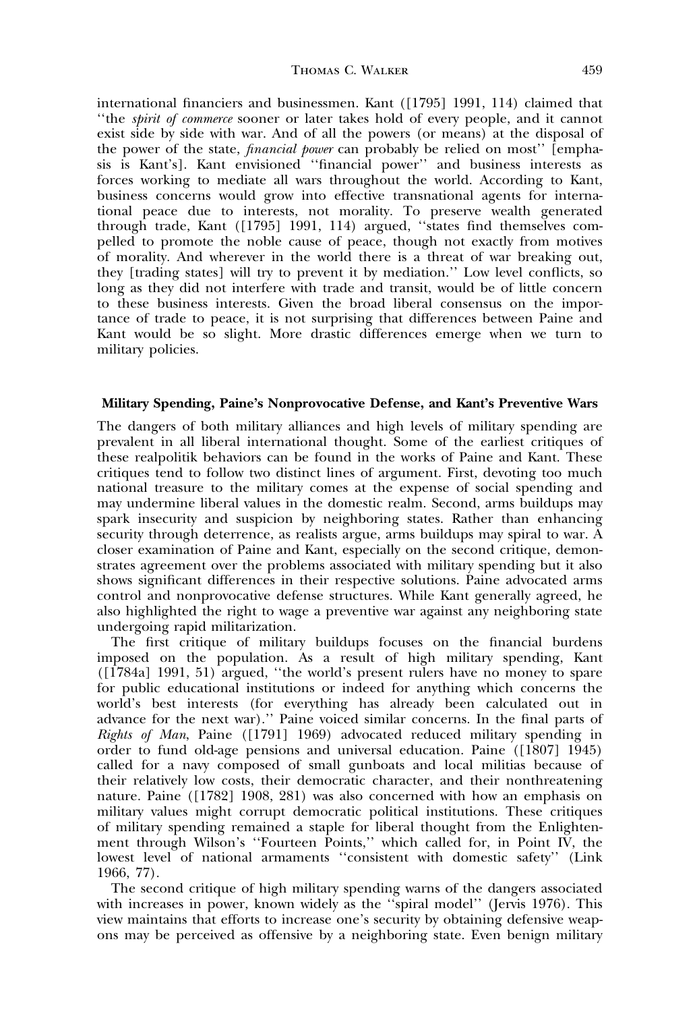international financiers and businessmen. Kant ([1795] 1991, 114) claimed that ''the spirit of commerce sooner or later takes hold of every people, and it cannot exist side by side with war. And of all the powers (or means) at the disposal of the power of the state, financial power can probably be relied on most'' [emphasis is Kant's]. Kant envisioned ''financial power'' and business interests as forces working to mediate all wars throughout the world. According to Kant, business concerns would grow into effective transnational agents for international peace due to interests, not morality. To preserve wealth generated through trade, Kant ([1795] 1991, 114) argued, ''states find themselves compelled to promote the noble cause of peace, though not exactly from motives of morality. And wherever in the world there is a threat of war breaking out, they [trading states] will try to prevent it by mediation.'' Low level conflicts, so long as they did not interfere with trade and transit, would be of little concern to these business interests. Given the broad liberal consensus on the importance of trade to peace, it is not surprising that differences between Paine and Kant would be so slight. More drastic differences emerge when we turn to military policies.

## Military Spending, Paine's Nonprovocative Defense, and Kant's Preventive Wars

The dangers of both military alliances and high levels of military spending are prevalent in all liberal international thought. Some of the earliest critiques of these realpolitik behaviors can be found in the works of Paine and Kant. These critiques tend to follow two distinct lines of argument. First, devoting too much national treasure to the military comes at the expense of social spending and may undermine liberal values in the domestic realm. Second, arms buildups may spark insecurity and suspicion by neighboring states. Rather than enhancing security through deterrence, as realists argue, arms buildups may spiral to war.  $\tilde{A}$ closer examination of Paine and Kant, especially on the second critique, demonstrates agreement over the problems associated with military spending but it also shows significant differences in their respective solutions. Paine advocated arms control and nonprovocative defense structures. While Kant generally agreed, he also highlighted the right to wage a preventive war against any neighboring state undergoing rapid militarization.

The first critique of military buildups focuses on the financial burdens imposed on the population. As a result of high military spending, Kant ([1784a] 1991, 51) argued, ''the world's present rulers have no money to spare for public educational institutions or indeed for anything which concerns the world's best interests (for everything has already been calculated out in advance for the next war).'' Paine voiced similar concerns. In the final parts of Rights of Man, Paine ([1791] 1969) advocated reduced military spending in order to fund old-age pensions and universal education. Paine ([1807] 1945) called for a navy composed of small gunboats and local militias because of their relatively low costs, their democratic character, and their nonthreatening nature. Paine ([1782] 1908, 281) was also concerned with how an emphasis on military values might corrupt democratic political institutions. These critiques of military spending remained a staple for liberal thought from the Enlightenment through Wilson's ''Fourteen Points,'' which called for, in Point IV, the lowest level of national armaments ''consistent with domestic safety'' (Link 1966, 77).

The second critique of high military spending warns of the dangers associated with increases in power, known widely as the "spiral model" (Jervis 1976). This view maintains that efforts to increase one's security by obtaining defensive weapons may be perceived as offensive by a neighboring state. Even benign military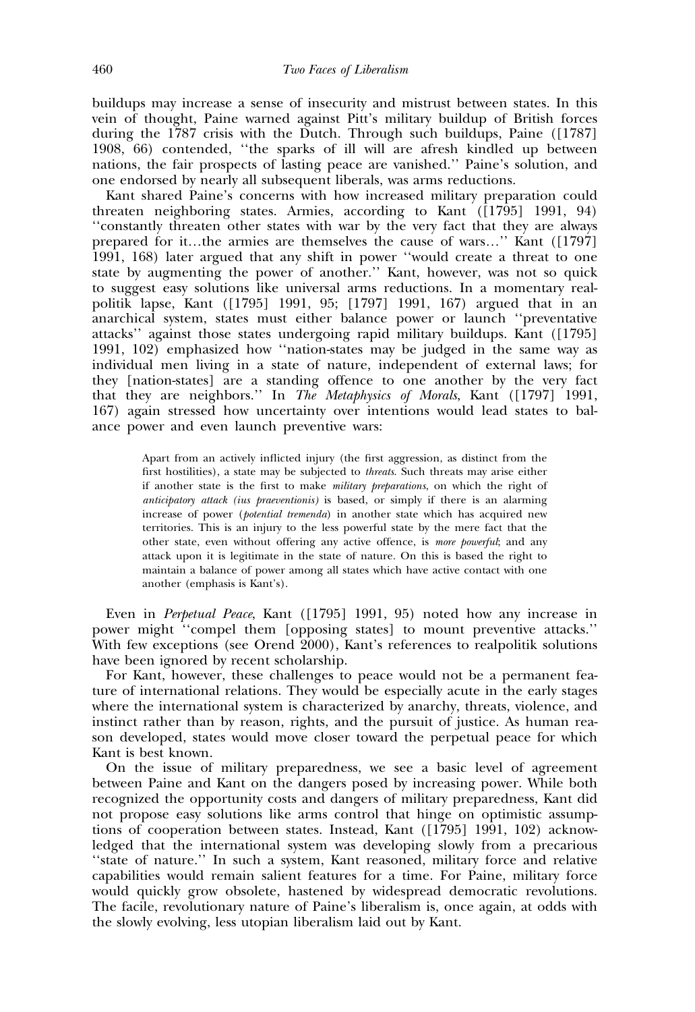buildups may increase a sense of insecurity and mistrust between states. In this vein of thought, Paine warned against Pitt's military buildup of British forces during the 1787 crisis with the Dutch. Through such buildups, Paine ([1787] 1908, 66) contended, ''the sparks of ill will are afresh kindled up between nations, the fair prospects of lasting peace are vanished.'' Paine's solution, and one endorsed by nearly all subsequent liberals, was arms reductions.

Kant shared Paine's concerns with how increased military preparation could threaten neighboring states. Armies, according to Kant ([1795] 1991, 94) ''constantly threaten other states with war by the very fact that they are always prepared for it…the armies are themselves the cause of wars…'' Kant ([1797] 1991, 168) later argued that any shift in power ''would create a threat to one state by augmenting the power of another.'' Kant, however, was not so quick to suggest easy solutions like universal arms reductions. In a momentary realpolitik lapse, Kant ([1795] 1991, 95; [1797] 1991, 167) argued that in an anarchical system, states must either balance power or launch ''preventative attacks'' against those states undergoing rapid military buildups. Kant ([1795] 1991, 102) emphasized how ''nation-states may be judged in the same way as individual men living in a state of nature, independent of external laws; for they [nation-states] are a standing offence to one another by the very fact that they are neighbors.'' In The Metaphysics of Morals, Kant ([1797] 1991, 167) again stressed how uncertainty over intentions would lead states to balance power and even launch preventive wars:

Apart from an actively inflicted injury (the first aggression, as distinct from the first hostilities), a state may be subjected to threats. Such threats may arise either if another state is the first to make military preparations, on which the right of anticipatory attack (ius praeventionis) is based, or simply if there is an alarming increase of power (potential tremenda) in another state which has acquired new territories. This is an injury to the less powerful state by the mere fact that the other state, even without offering any active offence, is more powerful; and any attack upon it is legitimate in the state of nature. On this is based the right to maintain a balance of power among all states which have active contact with one another (emphasis is Kant's).

Even in Perpetual Peace, Kant ([1795] 1991, 95) noted how any increase in power might ''compel them [opposing states] to mount preventive attacks.'' With few exceptions (see Orend 2000), Kant's references to realpolitik solutions have been ignored by recent scholarship.

For Kant, however, these challenges to peace would not be a permanent feature of international relations. They would be especially acute in the early stages where the international system is characterized by anarchy, threats, violence, and instinct rather than by reason, rights, and the pursuit of justice. As human reason developed, states would move closer toward the perpetual peace for which Kant is best known.

On the issue of military preparedness, we see a basic level of agreement between Paine and Kant on the dangers posed by increasing power. While both recognized the opportunity costs and dangers of military preparedness, Kant did not propose easy solutions like arms control that hinge on optimistic assumptions of cooperation between states. Instead, Kant ([1795] 1991, 102) acknowledged that the international system was developing slowly from a precarious ''state of nature.'' In such a system, Kant reasoned, military force and relative capabilities would remain salient features for a time. For Paine, military force would quickly grow obsolete, hastened by widespread democratic revolutions. The facile, revolutionary nature of Paine's liberalism is, once again, at odds with the slowly evolving, less utopian liberalism laid out by Kant.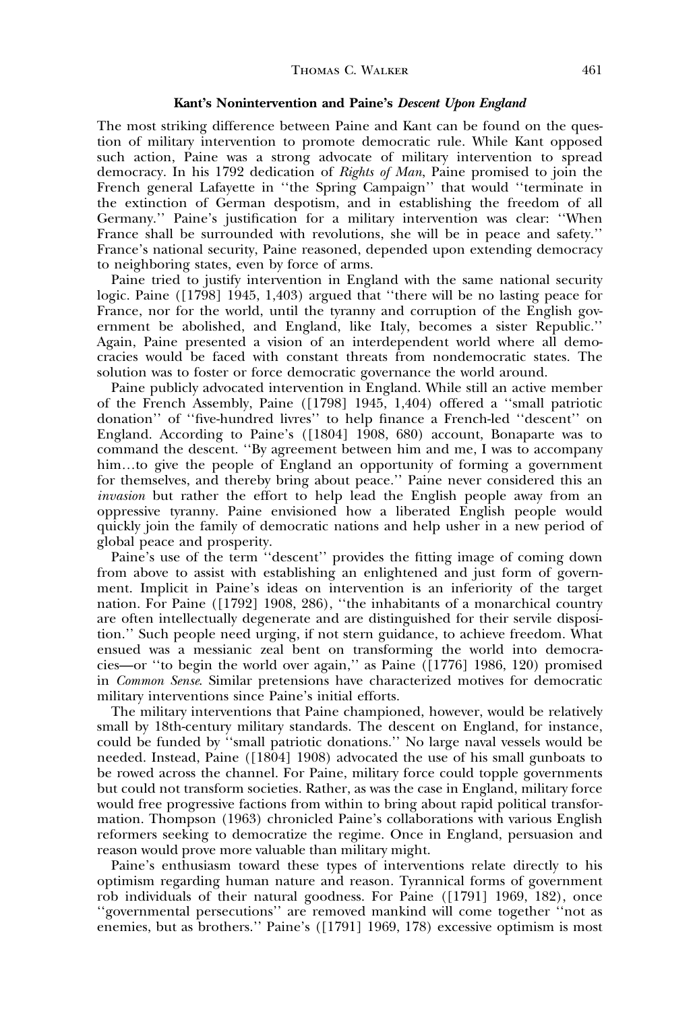## Kant's Nonintervention and Paine's Descent Upon England

The most striking difference between Paine and Kant can be found on the question of military intervention to promote democratic rule. While Kant opposed such action, Paine was a strong advocate of military intervention to spread democracy. In his 1792 dedication of Rights of Man, Paine promised to join the French general Lafayette in ''the Spring Campaign'' that would ''terminate in the extinction of German despotism, and in establishing the freedom of all Germany.'' Paine's justification for a military intervention was clear: ''When France shall be surrounded with revolutions, she will be in peace and safety.'' France's national security, Paine reasoned, depended upon extending democracy to neighboring states, even by force of arms.

Paine tried to justify intervention in England with the same national security logic. Paine ([1798] 1945, 1,403) argued that ''there will be no lasting peace for France, nor for the world, until the tyranny and corruption of the English government be abolished, and England, like Italy, becomes a sister Republic.'' Again, Paine presented a vision of an interdependent world where all democracies would be faced with constant threats from nondemocratic states. The solution was to foster or force democratic governance the world around.

Paine publicly advocated intervention in England. While still an active member of the French Assembly, Paine ([1798] 1945, 1,404) offered a ''small patriotic donation'' of ''five-hundred livres'' to help finance a French-led ''descent'' on England. According to Paine's ([1804] 1908, 680) account, Bonaparte was to command the descent. ''By agreement between him and me, I was to accompany him...to give the people of England an opportunity of forming a government for themselves, and thereby bring about peace.'' Paine never considered this an invasion but rather the effort to help lead the English people away from an oppressive tyranny. Paine envisioned how a liberated English people would quickly join the family of democratic nations and help usher in a new period of global peace and prosperity.

Paine's use of the term ''descent'' provides the fitting image of coming down from above to assist with establishing an enlightened and just form of government. Implicit in Paine's ideas on intervention is an inferiority of the target nation. For Paine ([1792] 1908, 286), ''the inhabitants of a monarchical country are often intellectually degenerate and are distinguished for their servile disposition.'' Such people need urging, if not stern guidance, to achieve freedom. What ensued was a messianic zeal bent on transforming the world into democracies—or ''to begin the world over again,'' as Paine ([1776] 1986, 120) promised in Common Sense. Similar pretensions have characterized motives for democratic military interventions since Paine's initial efforts.

The military interventions that Paine championed, however, would be relatively small by 18th-century military standards. The descent on England, for instance, could be funded by ''small patriotic donations.'' No large naval vessels would be needed. Instead, Paine ([1804] 1908) advocated the use of his small gunboats to be rowed across the channel. For Paine, military force could topple governments but could not transform societies. Rather, as was the case in England, military force would free progressive factions from within to bring about rapid political transformation. Thompson (1963) chronicled Paine's collaborations with various English reformers seeking to democratize the regime. Once in England, persuasion and reason would prove more valuable than military might.

Paine's enthusiasm toward these types of interventions relate directly to his optimism regarding human nature and reason. Tyrannical forms of government rob individuals of their natural goodness. For Paine ([1791] 1969, 182), once ''governmental persecutions'' are removed mankind will come together ''not as enemies, but as brothers.'' Paine's ([1791] 1969, 178) excessive optimism is most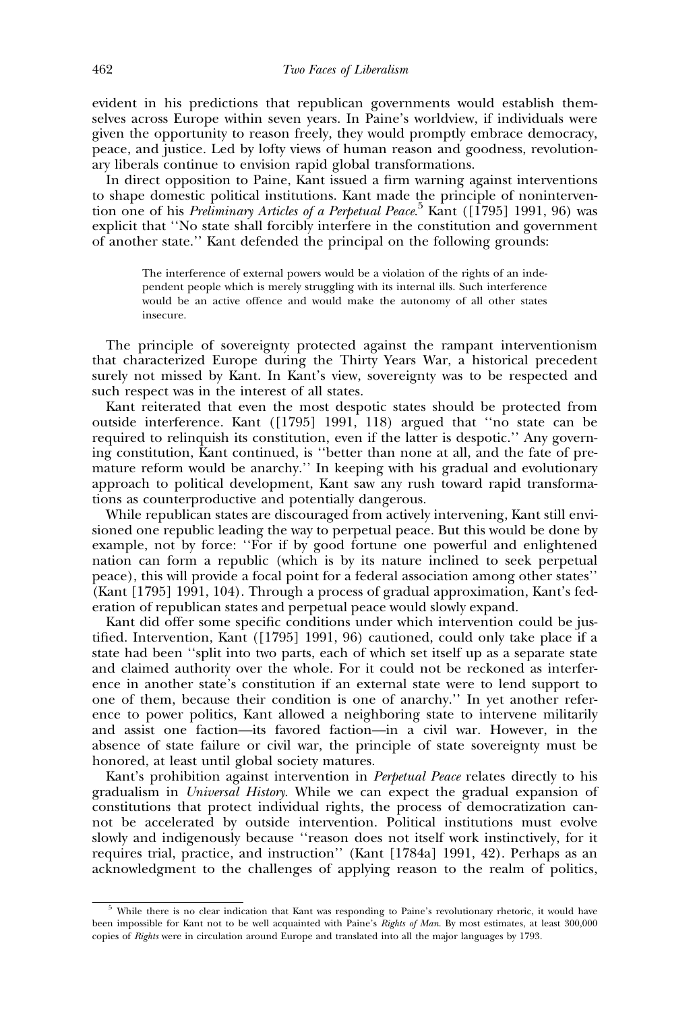evident in his predictions that republican governments would establish themselves across Europe within seven years. In Paine's worldview, if individuals were given the opportunity to reason freely, they would promptly embrace democracy, peace, and justice. Led by lofty views of human reason and goodness, revolutionary liberals continue to envision rapid global transformations.

In direct opposition to Paine, Kant issued a firm warning against interventions to shape domestic political institutions. Kant made the principle of nonintervention one of his Preliminary Articles of a Perpetual Peace.<sup>5</sup> Kant ([1795] 1991, 96) was explicit that ''No state shall forcibly interfere in the constitution and government of another state.'' Kant defended the principal on the following grounds:

The interference of external powers would be a violation of the rights of an independent people which is merely struggling with its internal ills. Such interference would be an active offence and would make the autonomy of all other states insecure.

The principle of sovereignty protected against the rampant interventionism that characterized Europe during the Thirty Years War, a historical precedent surely not missed by Kant. In Kant's view, sovereignty was to be respected and such respect was in the interest of all states.

Kant reiterated that even the most despotic states should be protected from outside interference. Kant ([1795] 1991, 118) argued that ''no state can be required to relinquish its constitution, even if the latter is despotic.'' Any governing constitution, Kant continued, is ''better than none at all, and the fate of premature reform would be anarchy.'' In keeping with his gradual and evolutionary approach to political development, Kant saw any rush toward rapid transformations as counterproductive and potentially dangerous.

While republican states are discouraged from actively intervening, Kant still envisioned one republic leading the way to perpetual peace. But this would be done by example, not by force: ''For if by good fortune one powerful and enlightened nation can form a republic (which is by its nature inclined to seek perpetual peace), this will provide a focal point for a federal association among other states'' (Kant [1795] 1991, 104). Through a process of gradual approximation, Kant's federation of republican states and perpetual peace would slowly expand.

Kant did offer some specific conditions under which intervention could be justified. Intervention, Kant ([1795] 1991, 96) cautioned, could only take place if a state had been ''split into two parts, each of which set itself up as a separate state and claimed authority over the whole. For it could not be reckoned as interference in another state's constitution if an external state were to lend support to one of them, because their condition is one of anarchy.'' In yet another reference to power politics, Kant allowed a neighboring state to intervene militarily and assist one faction—its favored faction—in a civil war. However, in the absence of state failure or civil war, the principle of state sovereignty must be honored, at least until global society matures.

Kant's prohibition against intervention in *Perpetual Peace* relates directly to his gradualism in Universal History. While we can expect the gradual expansion of constitutions that protect individual rights, the process of democratization cannot be accelerated by outside intervention. Political institutions must evolve slowly and indigenously because ''reason does not itself work instinctively, for it requires trial, practice, and instruction'' (Kant [1784a] 1991, 42). Perhaps as an acknowledgment to the challenges of applying reason to the realm of politics,

<sup>&</sup>lt;sup>5</sup> While there is no clear indication that Kant was responding to Paine's revolutionary rhetoric, it would have been impossible for Kant not to be well acquainted with Paine's Rights of Man. By most estimates, at least 300,000 copies of Rights were in circulation around Europe and translated into all the major languages by 1793.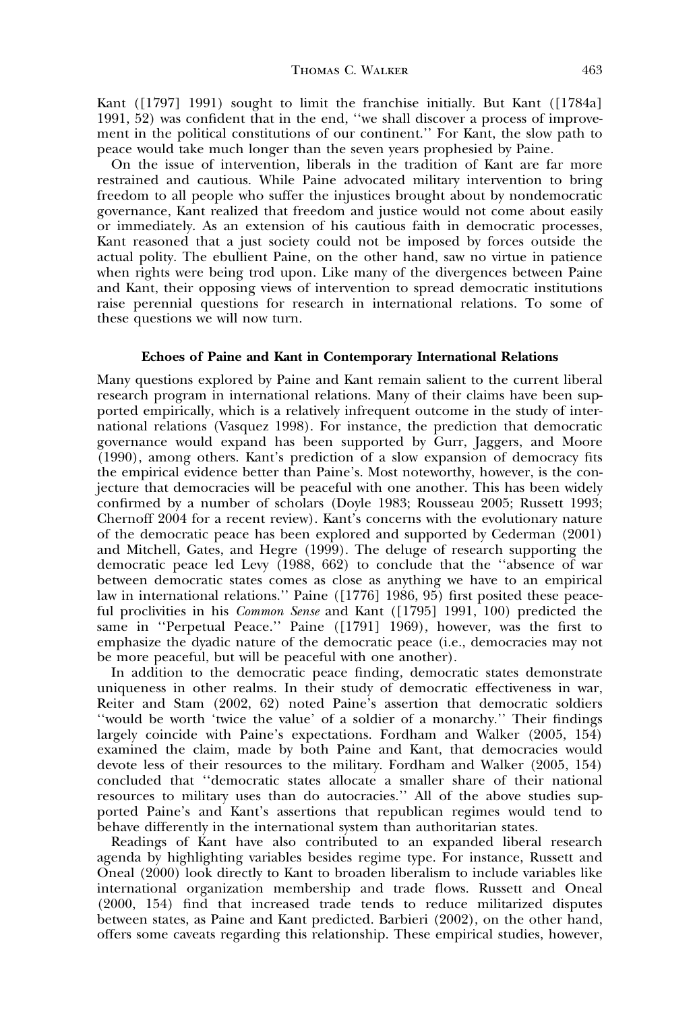Kant ([1797] 1991) sought to limit the franchise initially. But Kant ([1784a] 1991, 52) was confident that in the end, ''we shall discover a process of improvement in the political constitutions of our continent.'' For Kant, the slow path to peace would take much longer than the seven years prophesied by Paine.

On the issue of intervention, liberals in the tradition of Kant are far more restrained and cautious. While Paine advocated military intervention to bring freedom to all people who suffer the injustices brought about by nondemocratic governance, Kant realized that freedom and justice would not come about easily or immediately. As an extension of his cautious faith in democratic processes, Kant reasoned that a just society could not be imposed by forces outside the actual polity. The ebullient Paine, on the other hand, saw no virtue in patience when rights were being trod upon. Like many of the divergences between Paine and Kant, their opposing views of intervention to spread democratic institutions raise perennial questions for research in international relations. To some of these questions we will now turn.

## Echoes of Paine and Kant in Contemporary International Relations

Many questions explored by Paine and Kant remain salient to the current liberal research program in international relations. Many of their claims have been supported empirically, which is a relatively infrequent outcome in the study of international relations (Vasquez 1998). For instance, the prediction that democratic governance would expand has been supported by Gurr, Jaggers, and Moore (1990), among others. Kant's prediction of a slow expansion of democracy fits the empirical evidence better than Paine's. Most noteworthy, however, is the conjecture that democracies will be peaceful with one another. This has been widely confirmed by a number of scholars (Doyle 1983; Rousseau 2005; Russett 1993; Chernoff 2004 for a recent review). Kant's concerns with the evolutionary nature of the democratic peace has been explored and supported by Cederman (2001) and Mitchell, Gates, and Hegre (1999). The deluge of research supporting the democratic peace led Levy (1988, 662) to conclude that the ''absence of war between democratic states comes as close as anything we have to an empirical law in international relations.'' Paine ([1776] 1986, 95) first posited these peaceful proclivities in his Common Sense and Kant ([1795] 1991, 100) predicted the same in ''Perpetual Peace.'' Paine ([1791] 1969), however, was the first to emphasize the dyadic nature of the democratic peace (i.e., democracies may not be more peaceful, but will be peaceful with one another).

In addition to the democratic peace finding, democratic states demonstrate uniqueness in other realms. In their study of democratic effectiveness in war, Reiter and Stam (2002, 62) noted Paine's assertion that democratic soldiers ''would be worth 'twice the value' of a soldier of a monarchy.'' Their findings largely coincide with Paine's expectations. Fordham and Walker (2005, 154) examined the claim, made by both Paine and Kant, that democracies would devote less of their resources to the military. Fordham and Walker (2005, 154) concluded that ''democratic states allocate a smaller share of their national resources to military uses than do autocracies.'' All of the above studies supported Paine's and Kant's assertions that republican regimes would tend to behave differently in the international system than authoritarian states.

Readings of Kant have also contributed to an expanded liberal research agenda by highlighting variables besides regime type. For instance, Russett and Oneal (2000) look directly to Kant to broaden liberalism to include variables like international organization membership and trade flows. Russett and Oneal (2000, 154) find that increased trade tends to reduce militarized disputes between states, as Paine and Kant predicted. Barbieri (2002), on the other hand, offers some caveats regarding this relationship. These empirical studies, however,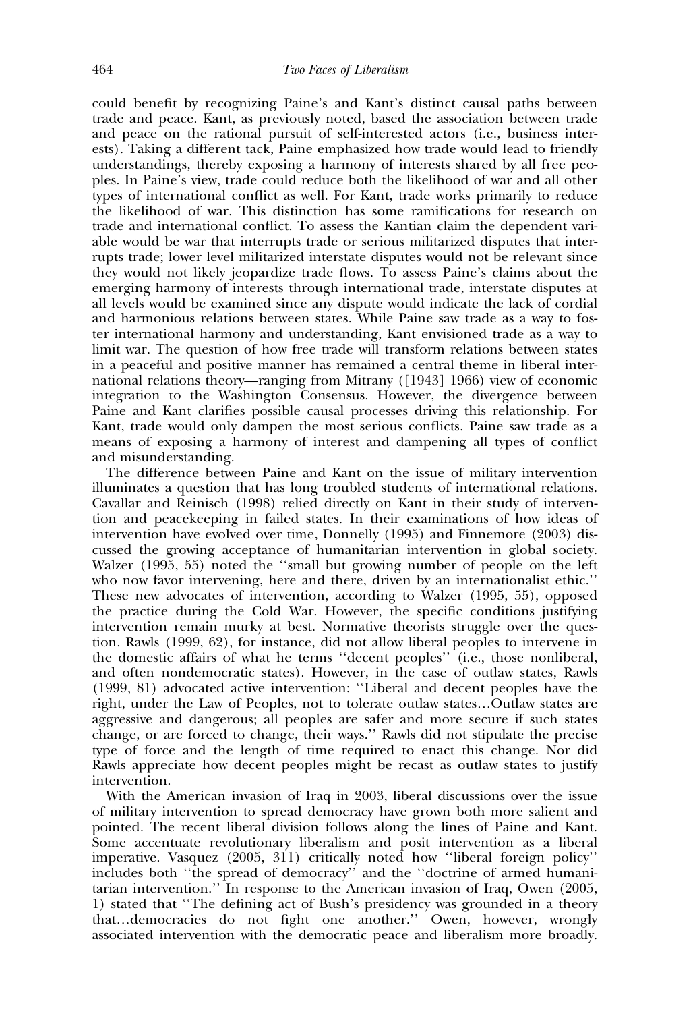could benefit by recognizing Paine's and Kant's distinct causal paths between trade and peace. Kant, as previously noted, based the association between trade and peace on the rational pursuit of self-interested actors (i.e., business interests). Taking a different tack, Paine emphasized how trade would lead to friendly understandings, thereby exposing a harmony of interests shared by all free peoples. In Paine's view, trade could reduce both the likelihood of war and all other types of international conflict as well. For Kant, trade works primarily to reduce the likelihood of war. This distinction has some ramifications for research on trade and international conflict. To assess the Kantian claim the dependent variable would be war that interrupts trade or serious militarized disputes that interrupts trade; lower level militarized interstate disputes would not be relevant since they would not likely jeopardize trade flows. To assess Paine's claims about the emerging harmony of interests through international trade, interstate disputes at all levels would be examined since any dispute would indicate the lack of cordial and harmonious relations between states. While Paine saw trade as a way to foster international harmony and understanding, Kant envisioned trade as a way to limit war. The question of how free trade will transform relations between states in a peaceful and positive manner has remained a central theme in liberal international relations theory—ranging from Mitrany ([1943] 1966) view of economic integration to the Washington Consensus. However, the divergence between Paine and Kant clarifies possible causal processes driving this relationship. For Kant, trade would only dampen the most serious conflicts. Paine saw trade as a means of exposing a harmony of interest and dampening all types of conflict and misunderstanding.

The difference between Paine and Kant on the issue of military intervention illuminates a question that has long troubled students of international relations. Cavallar and Reinisch (1998) relied directly on Kant in their study of intervention and peacekeeping in failed states. In their examinations of how ideas of intervention have evolved over time, Donnelly (1995) and Finnemore (2003) discussed the growing acceptance of humanitarian intervention in global society. Walzer (1995, 55) noted the ''small but growing number of people on the left who now favor intervening, here and there, driven by an internationalist ethic.'' These new advocates of intervention, according to Walzer (1995, 55), opposed the practice during the Cold War. However, the specific conditions justifying intervention remain murky at best. Normative theorists struggle over the question. Rawls (1999, 62), for instance, did not allow liberal peoples to intervene in the domestic affairs of what he terms ''decent peoples'' (i.e., those nonliberal, and often nondemocratic states). However, in the case of outlaw states, Rawls (1999, 81) advocated active intervention: ''Liberal and decent peoples have the right, under the Law of Peoples, not to tolerate outlaw states…Outlaw states are aggressive and dangerous; all peoples are safer and more secure if such states change, or are forced to change, their ways.'' Rawls did not stipulate the precise type of force and the length of time required to enact this change. Nor did Rawls appreciate how decent peoples might be recast as outlaw states to justify intervention.

With the American invasion of Iraq in 2003, liberal discussions over the issue of military intervention to spread democracy have grown both more salient and pointed. The recent liberal division follows along the lines of Paine and Kant. Some accentuate revolutionary liberalism and posit intervention as a liberal imperative. Vasquez (2005, 311) critically noted how ''liberal foreign policy'' includes both ''the spread of democracy'' and the ''doctrine of armed humanitarian intervention.'' In response to the American invasion of Iraq, Owen (2005, 1) stated that ''The defining act of Bush's presidency was grounded in a theory that…democracies do not fight one another.'' Owen, however, wrongly associated intervention with the democratic peace and liberalism more broadly.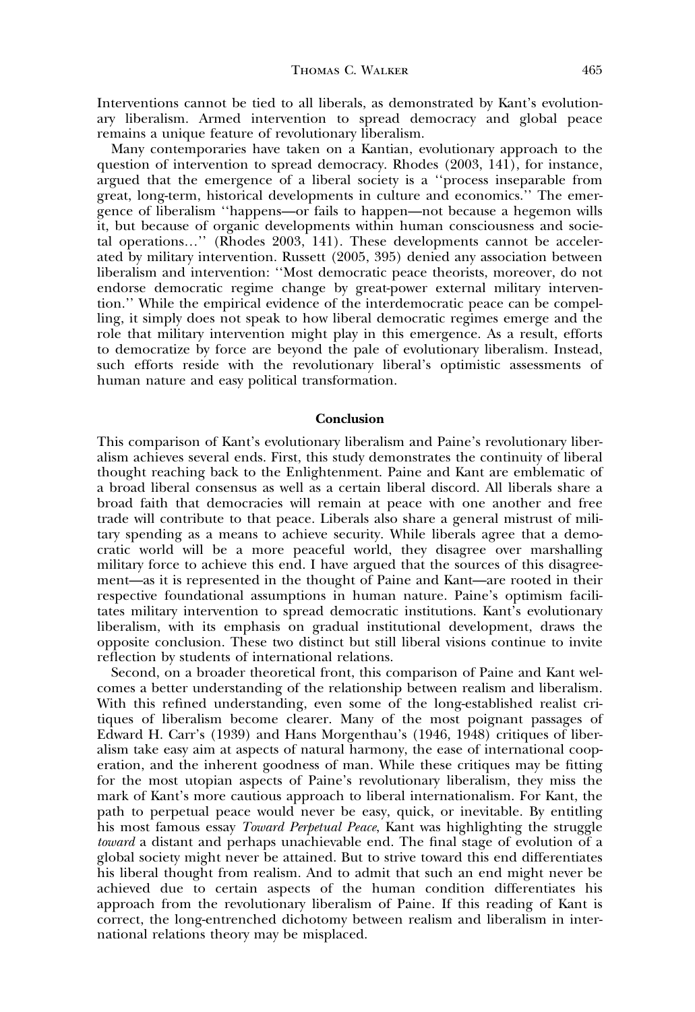Interventions cannot be tied to all liberals, as demonstrated by Kant's evolutionary liberalism. Armed intervention to spread democracy and global peace remains a unique feature of revolutionary liberalism.

Many contemporaries have taken on a Kantian, evolutionary approach to the question of intervention to spread democracy. Rhodes (2003, 141), for instance, argued that the emergence of a liberal society is a ''process inseparable from great, long-term, historical developments in culture and economics.'' The emergence of liberalism ''happens—or fails to happen—not because a hegemon wills it, but because of organic developments within human consciousness and societal operations…'' (Rhodes 2003, 141). These developments cannot be accelerated by military intervention. Russett (2005, 395) denied any association between liberalism and intervention: ''Most democratic peace theorists, moreover, do not endorse democratic regime change by great-power external military intervention.'' While the empirical evidence of the interdemocratic peace can be compelling, it simply does not speak to how liberal democratic regimes emerge and the role that military intervention might play in this emergence. As a result, efforts to democratize by force are beyond the pale of evolutionary liberalism. Instead, such efforts reside with the revolutionary liberal's optimistic assessments of human nature and easy political transformation.

#### Conclusion

This comparison of Kant's evolutionary liberalism and Paine's revolutionary liberalism achieves several ends. First, this study demonstrates the continuity of liberal thought reaching back to the Enlightenment. Paine and Kant are emblematic of a broad liberal consensus as well as a certain liberal discord. All liberals share a broad faith that democracies will remain at peace with one another and free trade will contribute to that peace. Liberals also share a general mistrust of military spending as a means to achieve security. While liberals agree that a democratic world will be a more peaceful world, they disagree over marshalling military force to achieve this end. I have argued that the sources of this disagreement—as it is represented in the thought of Paine and Kant—are rooted in their respective foundational assumptions in human nature. Paine's optimism facilitates military intervention to spread democratic institutions. Kant's evolutionary liberalism, with its emphasis on gradual institutional development, draws the opposite conclusion. These two distinct but still liberal visions continue to invite reflection by students of international relations.

Second, on a broader theoretical front, this comparison of Paine and Kant welcomes a better understanding of the relationship between realism and liberalism. With this refined understanding, even some of the long-established realist critiques of liberalism become clearer. Many of the most poignant passages of Edward H. Carr's (1939) and Hans Morgenthau's (1946, 1948) critiques of liberalism take easy aim at aspects of natural harmony, the ease of international cooperation, and the inherent goodness of man. While these critiques may be fitting for the most utopian aspects of Paine's revolutionary liberalism, they miss the mark of Kant's more cautious approach to liberal internationalism. For Kant, the path to perpetual peace would never be easy, quick, or inevitable. By entitling his most famous essay *Toward Perpetual Peace*, Kant was highlighting the struggle toward a distant and perhaps unachievable end. The final stage of evolution of a global society might never be attained. But to strive toward this end differentiates his liberal thought from realism. And to admit that such an end might never be achieved due to certain aspects of the human condition differentiates his approach from the revolutionary liberalism of Paine. If this reading of Kant is correct, the long-entrenched dichotomy between realism and liberalism in international relations theory may be misplaced.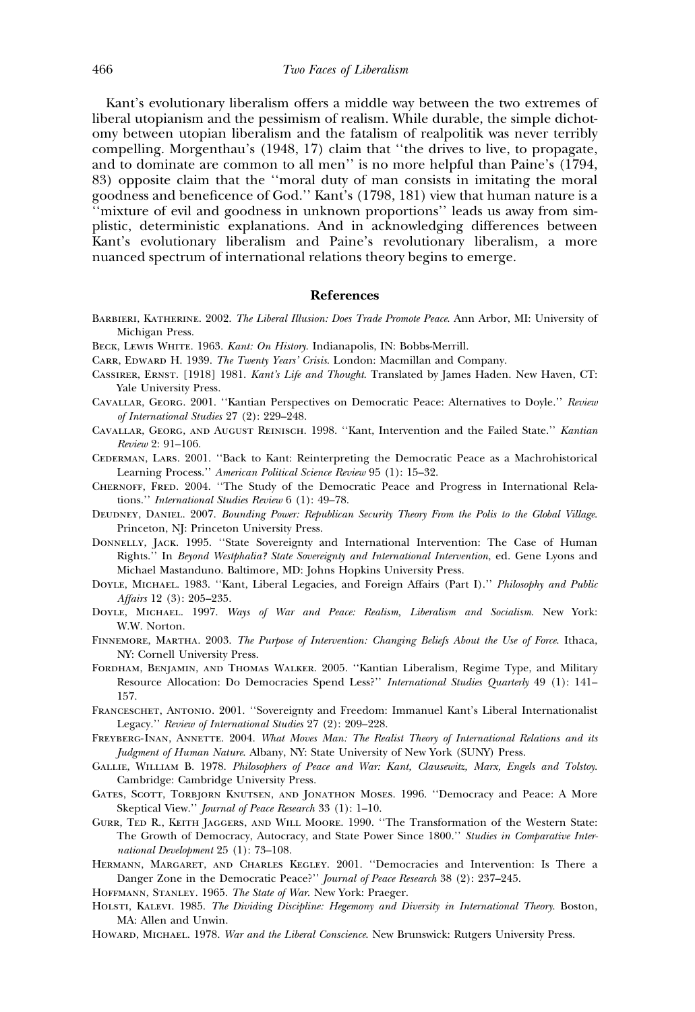Kant's evolutionary liberalism offers a middle way between the two extremes of liberal utopianism and the pessimism of realism. While durable, the simple dichotomy between utopian liberalism and the fatalism of realpolitik was never terribly compelling. Morgenthau's (1948, 17) claim that ''the drives to live, to propagate, and to dominate are common to all men'' is no more helpful than Paine's (1794, 83) opposite claim that the ''moral duty of man consists in imitating the moral goodness and beneficence of God.'' Kant's (1798, 181) view that human nature is a ''mixture of evil and goodness in unknown proportions'' leads us away from simplistic, deterministic explanations. And in acknowledging differences between Kant's evolutionary liberalism and Paine's revolutionary liberalism, a more nuanced spectrum of international relations theory begins to emerge.

#### References

- Barbieri, Katherine. 2002. The Liberal Illusion: Does Trade Promote Peace. Ann Arbor, MI: University of Michigan Press.
- BECK, LEWIS WHITE. 1963. Kant: On History. Indianapolis, IN: Bobbs-Merrill.
- CARR, EDWARD H. 1939. The Twenty Years' Crisis. London: Macmillan and Company.
- Cassirer, Ernst. [1918] 1981. Kant's Life and Thought. Translated by James Haden. New Haven, CT: Yale University Press.
- Cavallar, Georg. 2001. ''Kantian Perspectives on Democratic Peace: Alternatives to Doyle.'' Review of International Studies 27 (2): 229–248.
- Cavallar, Georg, and August Reinisch. 1998. ''Kant, Intervention and the Failed State.'' Kantian Review 2: 91–106.
- Cederman, Lars. 2001. ''Back to Kant: Reinterpreting the Democratic Peace as a Machrohistorical Learning Process.'' American Political Science Review 95 (1): 15–32.
- Chernoff, Fred. 2004. ''The Study of the Democratic Peace and Progress in International Relations.'' International Studies Review 6 (1): 49–78.
- DEUDNEY, DANIEL. 2007. Bounding Power: Republican Security Theory From the Polis to the Global Village. Princeton, NJ: Princeton University Press.
- Donnelly, Jack. 1995. ''State Sovereignty and International Intervention: The Case of Human Rights.'' In Beyond Westphalia? State Sovereignty and International Intervention, ed. Gene Lyons and Michael Mastanduno. Baltimore, MD: Johns Hopkins University Press.
- DOYLE, MICHAEL. 1983. "Kant, Liberal Legacies, and Foreign Affairs (Part I)." Philosophy and Public Affairs 12 (3): 205–235.
- Doyle, Michael. 1997. Ways of War and Peace: Realism, Liberalism and Socialism. New York: W.W. Norton.
- Finnemore, Martha. 2003. The Purpose of Intervention: Changing Beliefs About the Use of Force. Ithaca, NY: Cornell University Press.
- Fordham, Benjamin, and Thomas Walker. 2005. ''Kantian Liberalism, Regime Type, and Military Resource Allocation: Do Democracies Spend Less?" International Studies Quarterly 49 (1): 141-157.
- Franceschet, Antonio. 2001. ''Sovereignty and Freedom: Immanuel Kant's Liberal Internationalist Legacy.'' Review of International Studies 27 (2): 209–228.
- FREYBERG-INAN, ANNETTE. 2004. What Moves Man: The Realist Theory of International Relations and its Judgment of Human Nature. Albany, NY: State University of New York (SUNY) Press.
- Gallie, William B. 1978. Philosophers of Peace and War: Kant, Clausewitz, Marx, Engels and Tolstoy. Cambridge: Cambridge University Press.
- Gates, Scott, Torbjorn Knutsen, and Jonathon Moses. 1996. ''Democracy and Peace: A More Skeptical View.'' Journal of Peace Research 33 (1): 1–10.
- Gurr, Ted R., Keith Jaggers, and Will Moore. 1990. ''The Transformation of the Western State: The Growth of Democracy, Autocracy, and State Power Since 1800." Studies in Comparative International Development 25 (1): 73–108.
- Hermann, Margaret, and Charles Kegley. 2001. ''Democracies and Intervention: Is There a Danger Zone in the Democratic Peace?'' Journal of Peace Research 38 (2): 237–245.
- HOFFMANN, STANLEY. 1965. The State of War. New York: Praeger.
- Holsti, Kalevi. 1985. The Dividing Discipline: Hegemony and Diversity in International Theory. Boston, MA: Allen and Unwin.
- HOWARD, MICHAEL. 1978. War and the Liberal Conscience. New Brunswick: Rutgers University Press.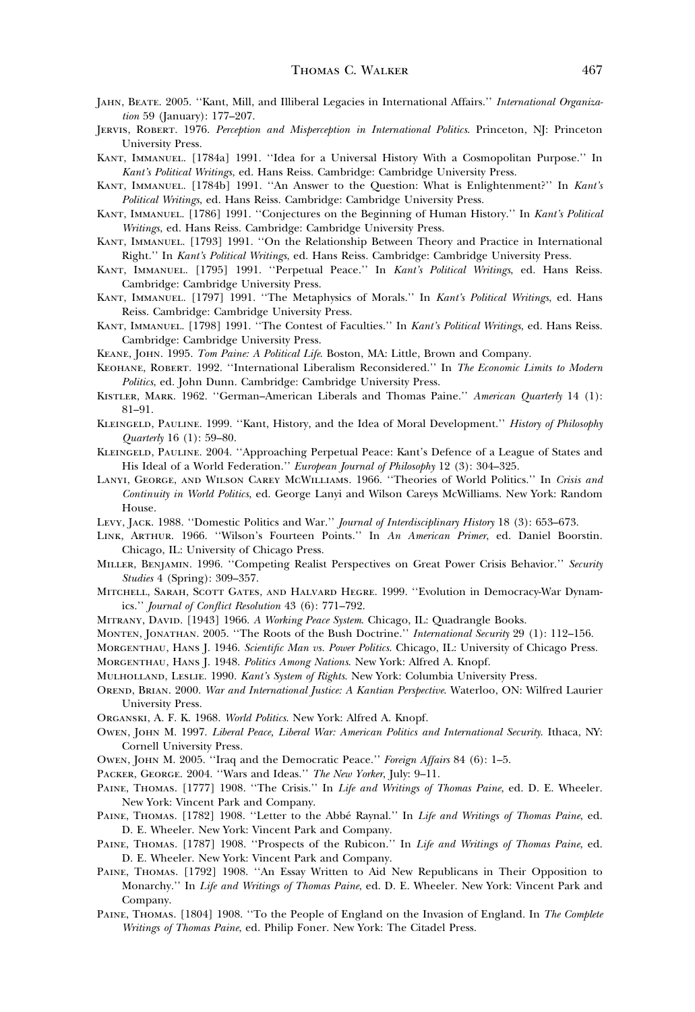- JAHN, BEATE. 2005. "Kant, Mill, and Illiberal Legacies in International Affairs." International Organization 59 (January): 177–207.
- Jervis, Robert. 1976. Perception and Misperception in International Politics. Princeton, NJ: Princeton University Press.
- Kant, Immanuel. [1784a] 1991. ''Idea for a Universal History With a Cosmopolitan Purpose.'' In Kant's Political Writings, ed. Hans Reiss. Cambridge: Cambridge University Press.
- KANT, IMMANUEL. [1784b] 1991. "An Answer to the Question: What is Enlightenment?" In Kant's Political Writings, ed. Hans Reiss. Cambridge: Cambridge University Press.
- KANT, IMMANUEL. [1786] 1991. "Conjectures on the Beginning of Human History." In Kant's Political Writings, ed. Hans Reiss. Cambridge: Cambridge University Press.
- Kant, Immanuel. [1793] 1991. ''On the Relationship Between Theory and Practice in International Right.'' In Kant's Political Writings, ed. Hans Reiss. Cambridge: Cambridge University Press.
- KANT, IMMANUEL. [1795] 1991. "Perpetual Peace." In Kant's Political Writings, ed. Hans Reiss. Cambridge: Cambridge University Press.
- KANT, IMMANUEL. [1797] 1991. "The Metaphysics of Morals." In Kant's Political Writings, ed. Hans Reiss. Cambridge: Cambridge University Press.
- KANT, IMMANUEL. [1798] 1991. "The Contest of Faculties." In Kant's Political Writings, ed. Hans Reiss. Cambridge: Cambridge University Press.
- Keane, John. 1995. Tom Paine: A Political Life. Boston, MA: Little, Brown and Company.
- Keohane, Robert. 1992. ''International Liberalism Reconsidered.'' In The Economic Limits to Modern Politics, ed. John Dunn. Cambridge: Cambridge University Press.
- KISTLER, MARK. 1962. "German-American Liberals and Thomas Paine." American Quarterly 14 (1): 81–91.
- KLEINGELD, PAULINE. 1999. "Kant, History, and the Idea of Moral Development." History of Philosophy Quarterly 16 (1): 59–80.
- Kleingeld, Pauline. 2004. ''Approaching Perpetual Peace: Kant's Defence of a League of States and His Ideal of a World Federation.'' European Journal of Philosophy 12 (3): 304–325.
- Lanyi, George, and Wilson Carey McWilliams. 1966. ''Theories of World Politics.'' In Crisis and Continuity in World Politics, ed. George Lanyi and Wilson Careys McWilliams. New York: Random House.
- LEVY, JACK. 1988. "Domestic Politics and War." Journal of Interdisciplinary History 18 (3): 653–673.
- Link, Arthur. 1966. ''Wilson's Fourteen Points.'' In An American Primer, ed. Daniel Boorstin. Chicago, IL: University of Chicago Press.
- MILLER, BENJAMIN. 1996. "Competing Realist Perspectives on Great Power Crisis Behavior." Security Studies 4 (Spring): 309–357.
- Mitchell, Sarah, Scott Gates, and Halvard Hegre. 1999. ''Evolution in Democracy-War Dynamics.'' Journal of Conflict Resolution 43 (6): 771–792.
- MITRANY, DAVID. [1943] 1966. A Working Peace System. Chicago, IL: Quadrangle Books.
- MONTEN, JONATHAN. 2005. "The Roots of the Bush Doctrine." International Security 29 (1): 112-156.
- MORGENTHAU, HANS J. 1946. Scientific Man vs. Power Politics. Chicago, IL: University of Chicago Press.

Morgenthau, Hans J. 1948. Politics Among Nations. New York: Alfred A. Knopf.

- Mulholland, Leslie. 1990. Kant's System of Rights. New York: Columbia University Press.
- OREND, BRIAN. 2000. War and International Justice: A Kantian Perspective. Waterloo, ON: Wilfred Laurier University Press.

Organski, A. F. K. 1968. World Politics. New York: Alfred A. Knopf.

- Owen, John M. 1997. Liberal Peace, Liberal War: American Politics and International Security. Ithaca, NY: Cornell University Press.
- Owen, John M. 2005. ''Iraq and the Democratic Peace.'' Foreign Affairs 84 (6): 1–5.
- PACKER, GEORGE. 2004. "Wars and Ideas." The New Yorker, July: 9-11.
- PAINE, THOMAS. [1777] 1908. "The Crisis." In Life and Writings of Thomas Paine, ed. D. E. Wheeler. New York: Vincent Park and Company.
- PAINE, THOMAS. [1782] 1908. "Letter to the Abbé Raynal." In Life and Writings of Thomas Paine, ed. D. E. Wheeler. New York: Vincent Park and Company.
- PAINE, THOMAS. [1787] 1908. "Prospects of the Rubicon." In Life and Writings of Thomas Paine, ed. D. E. Wheeler. New York: Vincent Park and Company.
- Paine, Thomas. [1792] 1908. ''An Essay Written to Aid New Republicans in Their Opposition to Monarchy.'' In Life and Writings of Thomas Paine, ed. D. E. Wheeler. New York: Vincent Park and Company.
- PAINE, THOMAS. [1804] 1908. "To the People of England on the Invasion of England. In The Complete Writings of Thomas Paine, ed. Philip Foner. New York: The Citadel Press.